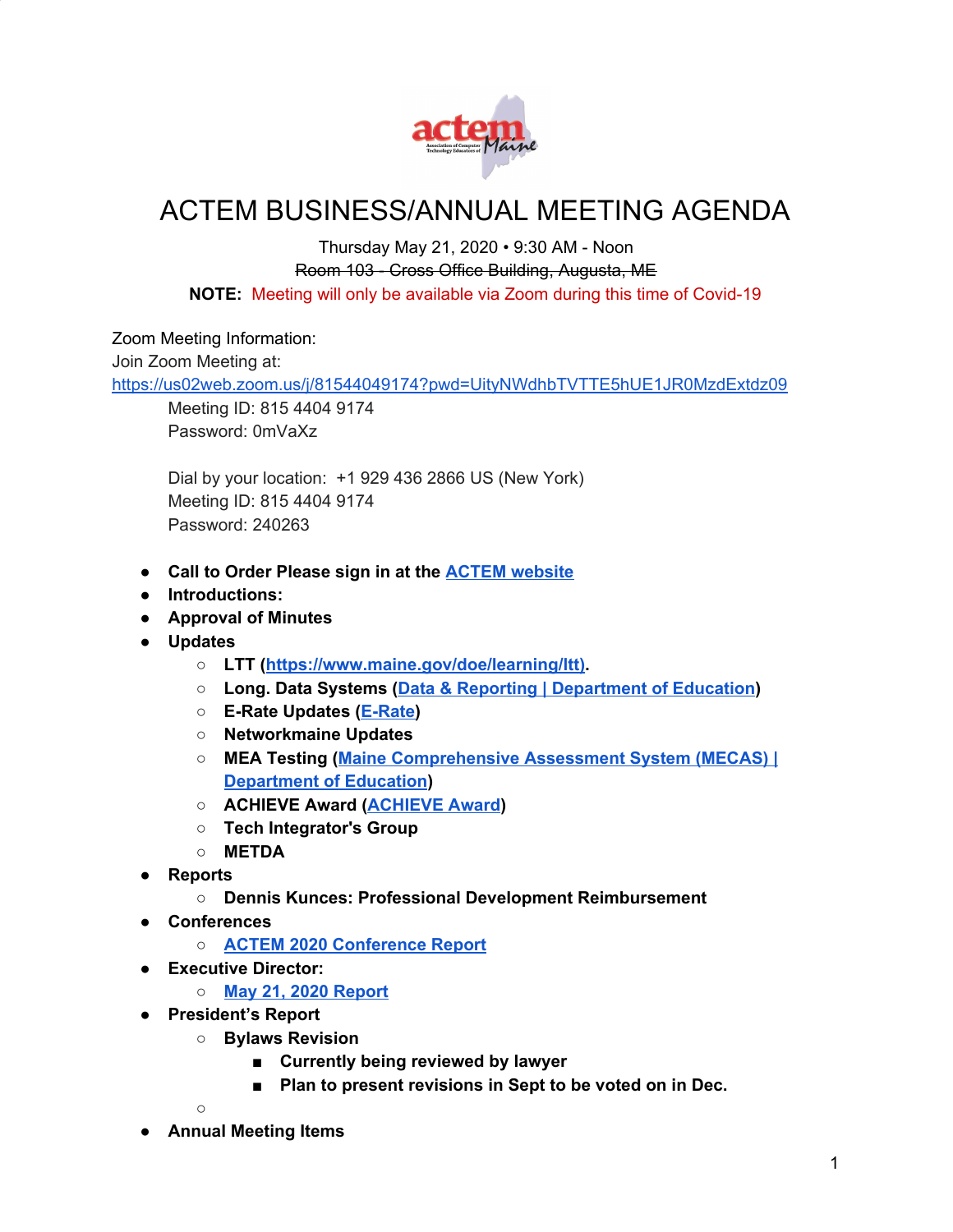

## ACTEM BUSINESS/ANNUAL MEETING AGENDA

## Thursday May 21, 2020 • 9:30 AM - Noon Room 103 - Cross Office Building, Augusta, ME **NOTE:** Meeting will only be available via Zoom during this time of Covid-19

Zoom Meeting Information:

Join Zoom Meeting at:

<https://us02web.zoom.us/j/81544049174?pwd=UityNWdhbTVTTE5hUE1JR0MzdExtdz09>

Meeting ID: 815 4404 9174 Password: 0mVaXz

Dial by your location: +1 929 436 2866 US (New York) Meeting ID: 815 4404 9174 Password: 240263

- **● Call to Order Please sign in at the ACTEM [website](https://docs.google.com/forms/d/e/1FAIpQLSeYQyg9SyUVDdkvJ7SBDoo4DEfrKK1Y_w7DH7GUFsu16T-OvA/viewform?fbzx=-352363821844841307)**
- **● Introductions:**
- **● Approval of Minutes**
- **● Updates**
	- **○ LTT ([https://www.maine.gov/doe/learning/ltt\)](https://www.maine.gov/doe/learning/ltt)).**
	- **○ Long. Data Systems (Data & Reporting | [Department](https://www.maine.gov/doe/data-reporting) of Education)**
	- **○ E-Rate Updates ([E-Rate\)](http://erate.networkmaine.net/)**
	- **○ Networkmaine Updates**
	- **○ MEA Testing (Maine [Comprehensive](https://www.maine.gov/doe/Testing_Accountability/MECAS) Assessment System (MECAS) | [Department](https://www.maine.gov/doe/Testing_Accountability/MECAS) of Education)**
	- **○ ACHIEVE Award [\(ACHIEVE](http://www.actem.org/AchieveAward) Award)**
	- **○ Tech Integrator's Group**
	- **○ METDA**
- **● Reports**
	- **○ Dennis Kunces: Professional Development Reimbursement**
- **● Conferences**
	- **○ ACTEM 2020 [Conference](http://www.actem.org/resources/Documents/ACTEM%202020%20ConferenceReport-05-21-20.pdf) Report**
- **● Executive Director:**
	- **○ May 21, 2020 [Report](https://docs.google.com/document/d/1oYUKED03Wmder-iZXgVvV8vQ49dBW8HpXDenxKSGLWk/edit?usp=sharing)**
- **● President's Report**
	- **○ Bylaws Revision**
		- **■ Currently being reviewed by lawyer**
		- **■ Plan to present revisions in Sept to be voted on in Dec.**

**○**

**● Annual Meeting Items**